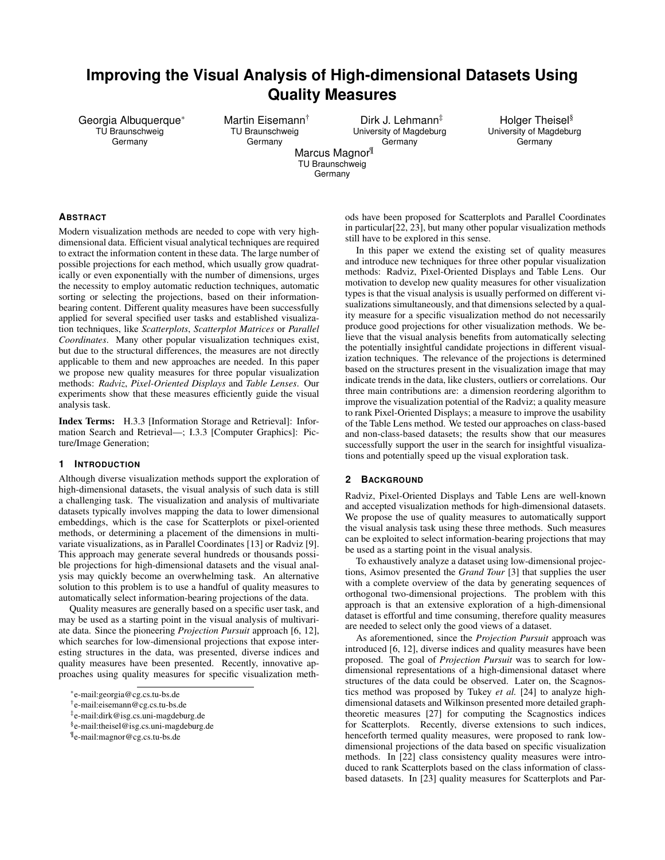# **Improving the Visual Analysis of High-dimensional Datasets Using Quality Measures**

TU Braunschweig Germany

Georgia Albuquerque∗ TU Braunschweig Germany

Martin Eisemann† TU Braunschweig Germany Marcus Magnor¶

Dirk J. Lehmann<sup>‡</sup> University of Magdeburg **Germany** 

Holger Theisel<sup>§</sup> University of Magdeburg Germany

# **ABSTRACT**

Modern visualization methods are needed to cope with very highdimensional data. Efficient visual analytical techniques are required to extract the information content in these data. The large number of possible projections for each method, which usually grow quadratically or even exponentially with the number of dimensions, urges the necessity to employ automatic reduction techniques, automatic sorting or selecting the projections, based on their informationbearing content. Different quality measures have been successfully applied for several specified user tasks and established visualization techniques, like *Scatterplots*, *Scatterplot Matrices* or *Parallel Coordinates*. Many other popular visualization techniques exist, but due to the structural differences, the measures are not directly applicable to them and new approaches are needed. In this paper we propose new quality measures for three popular visualization methods: *Radviz*, *Pixel-Oriented Displays* and *Table Lenses*. Our experiments show that these measures efficiently guide the visual analysis task.

Index Terms: H.3.3 [Information Storage and Retrieval]: Information Search and Retrieval—; I.3.3 [Computer Graphics]: Picture/Image Generation;

# **1 INTRODUCTION**

Although diverse visualization methods support the exploration of high-dimensional datasets, the visual analysis of such data is still a challenging task. The visualization and analysis of multivariate datasets typically involves mapping the data to lower dimensional embeddings, which is the case for Scatterplots or pixel-oriented methods, or determining a placement of the dimensions in multivariate visualizations, as in Parallel Coordinates [13] or Radviz [9]. This approach may generate several hundreds or thousands possible projections for high-dimensional datasets and the visual analysis may quickly become an overwhelming task. An alternative solution to this problem is to use a handful of quality measures to automatically select information-bearing projections of the data.

Quality measures are generally based on a specific user task, and may be used as a starting point in the visual analysis of multivariate data. Since the pioneering *Projection Pursuit* approach [6, 12], which searches for low-dimensional projections that expose interesting structures in the data, was presented, diverse indices and quality measures have been presented. Recently, innovative approaches using quality measures for specific visualization meth-

ods have been proposed for Scatterplots and Parallel Coordinates in particular[22, 23], but many other popular visualization methods still have to be explored in this sense.

In this paper we extend the existing set of quality measures and introduce new techniques for three other popular visualization methods: Radviz, Pixel-Oriented Displays and Table Lens. Our motivation to develop new quality measures for other visualization types is that the visual analysis is usually performed on different visualizations simultaneously, and that dimensions selected by a quality measure for a specific visualization method do not necessarily produce good projections for other visualization methods. We believe that the visual analysis benefits from automatically selecting the potentially insightful candidate projections in different visualization techniques. The relevance of the projections is determined based on the structures present in the visualization image that may indicate trends in the data, like clusters, outliers or correlations. Our three main contributions are: a dimension reordering algorithm to improve the visualization potential of the Radviz; a quality measure to rank Pixel-Oriented Displays; a measure to improve the usability of the Table Lens method. We tested our approaches on class-based and non-class-based datasets; the results show that our measures successfully support the user in the search for insightful visualizations and potentially speed up the visual exploration task.

# **2 BACKGROUND**

Radviz, Pixel-Oriented Displays and Table Lens are well-known and accepted visualization methods for high-dimensional datasets. We propose the use of quality measures to automatically support the visual analysis task using these three methods. Such measures can be exploited to select information-bearing projections that may be used as a starting point in the visual analysis.

To exhaustively analyze a dataset using low-dimensional projections, Asimov presented the *Grand Tour* [3] that supplies the user with a complete overview of the data by generating sequences of orthogonal two-dimensional projections. The problem with this approach is that an extensive exploration of a high-dimensional dataset is effortful and time consuming, therefore quality measures are needed to select only the good views of a dataset.

As aforementioned, since the *Projection Pursuit* approach was introduced [6, 12], diverse indices and quality measures have been proposed. The goal of *Projection Pursuit* was to search for lowdimensional representations of a high-dimensional dataset where structures of the data could be observed. Later on, the Scagnostics method was proposed by Tukey *et al.* [24] to analyze highdimensional datasets and Wilkinson presented more detailed graphtheoretic measures [27] for computing the Scagnostics indices for Scatterplots. Recently, diverse extensions to such indices, henceforth termed quality measures, were proposed to rank lowdimensional projections of the data based on specific visualization methods. In [22] class consistency quality measures were introduced to rank Scatterplots based on the class information of classbased datasets. In [23] quality measures for Scatterplots and Par-

<sup>∗</sup> e-mail:georgia@cg.cs.tu-bs.de

<sup>†</sup> e-mail:eisemann@cg.cs.tu-bs.de

<sup>‡</sup> e-mail:dirk@isg.cs.uni-magdeburg.de

<sup>§</sup> e-mail:theisel@isg.cs.uni-magdeburg.de

<sup>¶</sup> e-mail:magnor@cg.cs.tu-bs.de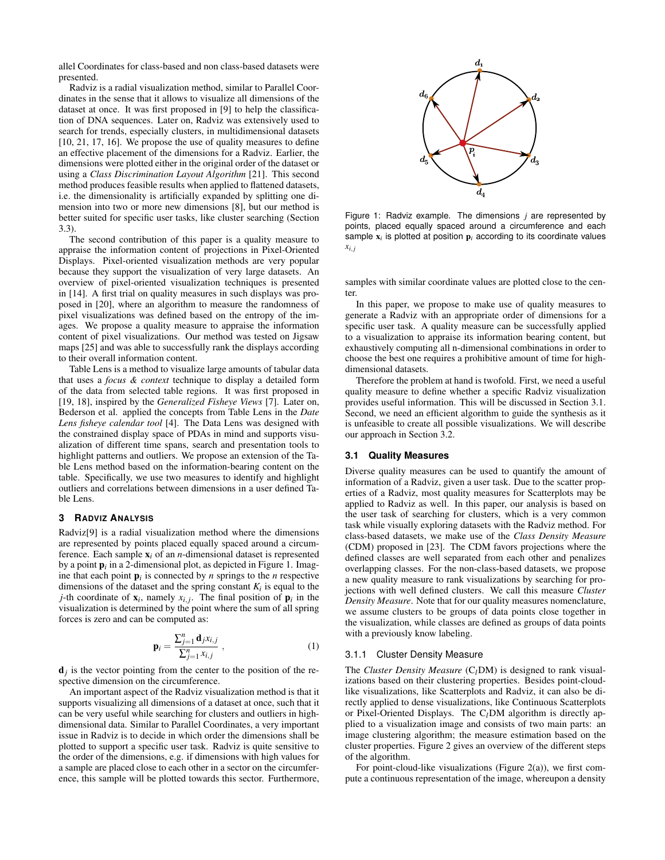allel Coordinates for class-based and non class-based datasets were presented.

Radviz is a radial visualization method, similar to Parallel Coordinates in the sense that it allows to visualize all dimensions of the dataset at once. It was first proposed in [9] to help the classification of DNA sequences. Later on, Radviz was extensively used to search for trends, especially clusters, in multidimensional datasets [10, 21, 17, 16]. We propose the use of quality measures to define an effective placement of the dimensions for a Radviz. Earlier, the dimensions were plotted either in the original order of the dataset or using a *Class Discrimination Layout Algorithm* [21]. This second method produces feasible results when applied to flattened datasets, i.e. the dimensionality is artificially expanded by splitting one dimension into two or more new dimensions [8], but our method is better suited for specific user tasks, like cluster searching (Section 3.3).

The second contribution of this paper is a quality measure to appraise the information content of projections in Pixel-Oriented Displays. Pixel-oriented visualization methods are very popular because they support the visualization of very large datasets. An overview of pixel-oriented visualization techniques is presented in [14]. A first trial on quality measures in such displays was proposed in [20], where an algorithm to measure the randomness of pixel visualizations was defined based on the entropy of the images. We propose a quality measure to appraise the information content of pixel visualizations. Our method was tested on Jigsaw maps [25] and was able to successfully rank the displays according to their overall information content.

Table Lens is a method to visualize large amounts of tabular data that uses a *focus & context* technique to display a detailed form of the data from selected table regions. It was first proposed in [19, 18], inspired by the *Generalized Fisheye Views* [7]. Later on, Bederson et al. applied the concepts from Table Lens in the *Date Lens fisheye calendar tool* [4]. The Data Lens was designed with the constrained display space of PDAs in mind and supports visualization of different time spans, search and presentation tools to highlight patterns and outliers. We propose an extension of the Table Lens method based on the information-bearing content on the table. Specifically, we use two measures to identify and highlight outliers and correlations between dimensions in a user defined Table Lens.

# **3 RADVIZ ANALYSIS**

Radviz[9] is a radial visualization method where the dimensions are represented by points placed equally spaced around a circumference. Each sample x*i* of an *n*-dimensional dataset is represented by a point p*i* in a 2-dimensional plot, as depicted in Figure 1. Imagine that each point  $\mathbf{p}_i$  is connected by *n* springs to the *n* respective dimensions of the dataset and the spring constant  $K_i$  is equal to the *j*-th coordinate of  $\mathbf{x}_i$ , namely  $x_{i,j}$ . The final position of  $\mathbf{p}_i$  in the visualization is determined by the point where the sum of all spring forces is zero and can be computed as:

$$
\mathbf{p}_{i} = \frac{\sum_{j=1}^{n} \mathbf{d}_{j} x_{i,j}}{\sum_{j=1}^{n} x_{i,j}} , \qquad (1)
$$

 $\mathbf{d}_j$  is the vector pointing from the center to the position of the respective dimension on the circumference.

An important aspect of the Radviz visualization method is that it supports visualizing all dimensions of a dataset at once, such that it can be very useful while searching for clusters and outliers in highdimensional data. Similar to Parallel Coordinates, a very important issue in Radviz is to decide in which order the dimensions shall be plotted to support a specific user task. Radviz is quite sensitive to the order of the dimensions, e.g. if dimensions with high values for a sample are placed close to each other in a sector on the circumference, this sample will be plotted towards this sector. Furthermore,



Figure 1: Radviz example. The dimensions *j* are represented by points, placed equally spaced around a circumference and each sample x*<sup>i</sup>* is plotted at position p*<sup>i</sup>* according to its coordinate values  $x_{i,i}$ 

samples with similar coordinate values are plotted close to the center.

In this paper, we propose to make use of quality measures to generate a Radviz with an appropriate order of dimensions for a specific user task. A quality measure can be successfully applied to a visualization to appraise its information bearing content, but exhaustively computing all n-dimensional combinations in order to choose the best one requires a prohibitive amount of time for highdimensional datasets.

Therefore the problem at hand is twofold. First, we need a useful quality measure to define whether a specific Radviz visualization provides useful information. This will be discussed in Section 3.1. Second, we need an efficient algorithm to guide the synthesis as it is unfeasible to create all possible visualizations. We will describe our approach in Section 3.2.

# **3.1 Quality Measures**

Diverse quality measures can be used to quantify the amount of information of a Radviz, given a user task. Due to the scatter properties of a Radviz, most quality measures for Scatterplots may be applied to Radviz as well. In this paper, our analysis is based on the user task of searching for clusters, which is a very common task while visually exploring datasets with the Radviz method. For class-based datasets, we make use of the *Class Density Measure* (CDM) proposed in [23]. The CDM favors projections where the defined classes are well separated from each other and penalizes overlapping classes. For the non-class-based datasets, we propose a new quality measure to rank visualizations by searching for projections with well defined clusters. We call this measure *Cluster Density Measure*. Note that for our quality measures nomenclature, we assume clusters to be groups of data points close together in the visualization, while classes are defined as groups of data points with a previously know labeling.

## 3.1.1 Cluster Density Measure

The *Cluster Density Measure* (C<sub>l</sub>DM) is designed to rank visualizations based on their clustering properties. Besides point-cloudlike visualizations, like Scatterplots and Radviz, it can also be directly applied to dense visualizations, like Continuous Scatterplots or Pixel-Oriented Displays. The C*l*DM algorithm is directly applied to a visualization image and consists of two main parts: an image clustering algorithm; the measure estimation based on the cluster properties. Figure 2 gives an overview of the different steps of the algorithm.

For point-cloud-like visualizations (Figure 2(a)), we first compute a continuous representation of the image, whereupon a density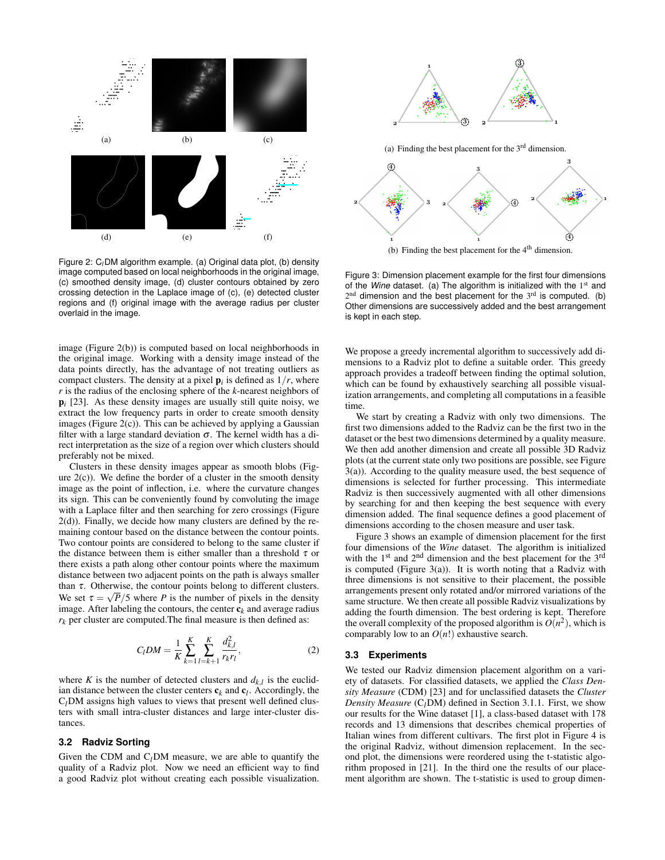

Figure 2: C*l*DM algorithm example. (a) Original data plot, (b) density image computed based on local neighborhoods in the original image, (c) smoothed density image, (d) cluster contours obtained by zero crossing detection in the Laplace image of (c), (e) detected cluster regions and (f) original image with the average radius per cluster overlaid in the image.

image (Figure 2(b)) is computed based on local neighborhoods in the original image. Working with a density image instead of the data points directly, has the advantage of not treating outliers as compact clusters. The density at a pixel  $\mathbf{p}_i$  is defined as  $1/r$ , where *r* is the radius of the enclosing sphere of the *k*-nearest neighbors of p*i* [23]. As these density images are usually still quite noisy, we extract the low frequency parts in order to create smooth density images (Figure 2(c)). This can be achieved by applying a Gaussian filter with a large standard deviation  $\sigma$ . The kernel width has a direct interpretation as the size of a region over which clusters should preferably not be mixed.

Clusters in these density images appear as smooth blobs (Figure  $2(c)$ ). We define the border of a cluster in the smooth density image as the point of inflection, i.e. where the curvature changes its sign. This can be conveniently found by convoluting the image with a Laplace filter and then searching for zero crossings (Figure 2(d)). Finally, we decide how many clusters are defined by the remaining contour based on the distance between the contour points. Two contour points are considered to belong to the same cluster if the distance between them is either smaller than a threshold  $\tau$  or there exists a path along other contour points where the maximum distance between two adjacent points on the path is always smaller than  $\tau$ . Otherwise, the contour points belong to different clusters. We set  $\tau = \sqrt{P}/5$  where *P* is the number of pixels in the density image. After labeling the contours, the center  $\mathbf{c}_k$  and average radius  $r_k$  per cluster are computed. The final measure is then defined as:

$$
C_l DM = \frac{1}{K} \sum_{k=1}^{K} \sum_{l=k+1}^{K} \frac{d_{k,l}^2}{r_k r_l},
$$
 (2)

where *K* is the number of detected clusters and  $d_{k,l}$  is the euclidian distance between the cluster centers  $c_k$  and  $c_l$ . Accordingly, the C*l*DM assigns high values to views that present well defined clusters with small intra-cluster distances and large inter-cluster distances.

# **3.2 Radviz Sorting**

Given the CDM and C*l*DM measure, we are able to quantify the quality of a Radviz plot. Now we need an efficient way to find a good Radviz plot without creating each possible visualization.



(a) Finding the best placement for the  $3<sup>rd</sup>$  dimension.



(b) Finding the best placement for the  $4<sup>th</sup>$  dimension.

Figure 3: Dimension placement example for the first four dimensions of the Wine dataset. (a) The algorithm is initialized with the 1<sup>st</sup> and  $2<sup>nd</sup>$  dimension and the best placement for the  $3<sup>rd</sup>$  is computed. (b) Other dimensions are successively added and the best arrangement is kept in each step.

We propose a greedy incremental algorithm to successively add dimensions to a Radviz plot to define a suitable order. This greedy approach provides a tradeoff between finding the optimal solution, which can be found by exhaustively searching all possible visualization arrangements, and completing all computations in a feasible time.

We start by creating a Radviz with only two dimensions. The first two dimensions added to the Radviz can be the first two in the dataset or the best two dimensions determined by a quality measure. We then add another dimension and create all possible 3D Radviz plots (at the current state only two positions are possible, see Figure 3(a)). According to the quality measure used, the best sequence of dimensions is selected for further processing. This intermediate Radviz is then successively augmented with all other dimensions by searching for and then keeping the best sequence with every dimension added. The final sequence defines a good placement of dimensions according to the chosen measure and user task.

Figure 3 shows an example of dimension placement for the first four dimensions of the *Wine* dataset. The algorithm is initialized with the 1<sup>st</sup> and 2<sup>nd</sup> dimension and the best placement for the 3<sup>rd</sup> is computed (Figure 3(a)). It is worth noting that a Radviz with three dimensions is not sensitive to their placement, the possible arrangements present only rotated and/or mirrored variations of the same structure. We then create all possible Radviz visualizations by adding the fourth dimension. The best ordering is kept. Therefore the overall complexity of the proposed algorithm is  $O(n^2)$ , which is comparably low to an  $O(n!)$  exhaustive search.

# **3.3 Experiments**

We tested our Radviz dimension placement algorithm on a variety of datasets. For classified datasets, we applied the *Class Density Measure* (CDM) [23] and for unclassified datasets the *Cluster Density Measure* (C<sub>l</sub>DM) defined in Section 3.1.1. First, we show our results for the Wine dataset [1], a class-based dataset with 178 records and 13 dimensions that describes chemical properties of Italian wines from different cultivars. The first plot in Figure 4 is the original Radviz, without dimension replacement. In the second plot, the dimensions were reordered using the t-statistic algorithm proposed in [21]. In the third one the results of our placement algorithm are shown. The t-statistic is used to group dimen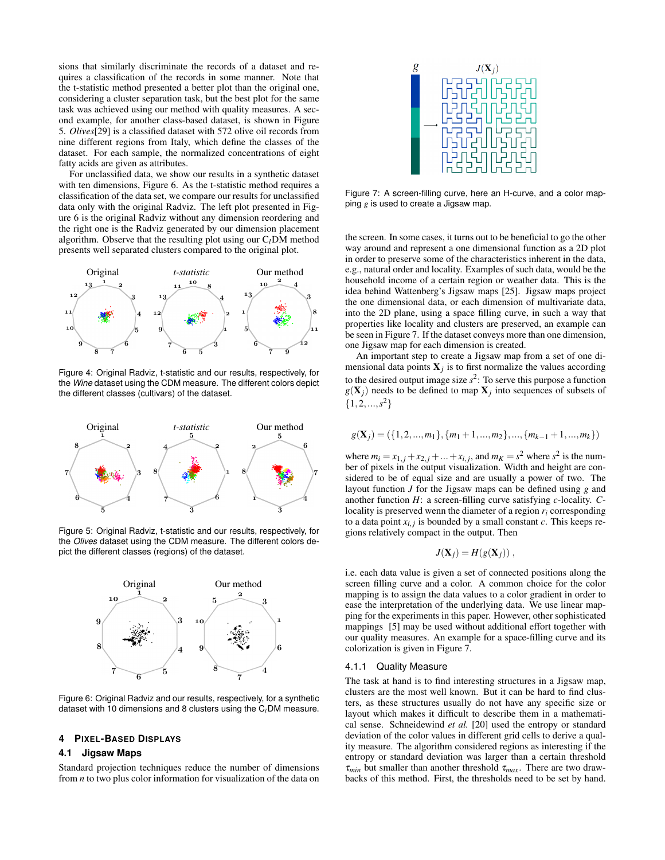sions that similarly discriminate the records of a dataset and requires a classification of the records in some manner. Note that the t-statistic method presented a better plot than the original one, considering a cluster separation task, but the best plot for the same task was achieved using our method with quality measures. A second example, for another class-based dataset, is shown in Figure 5. *Olives*[29] is a classified dataset with 572 olive oil records from nine different regions from Italy, which define the classes of the dataset. For each sample, the normalized concentrations of eight fatty acids are given as attributes.

For unclassified data, we show our results in a synthetic dataset with ten dimensions, Figure 6. As the t-statistic method requires a classification of the data set, we compare our results for unclassified data only with the original Radviz. The left plot presented in Figure 6 is the original Radviz without any dimension reordering and the right one is the Radviz generated by our dimension placement algorithm. Observe that the resulting plot using our  $C_lDM$  method presents well separated clusters compared to the original plot.



Figure 4: Original Radviz, t-statistic and our results, respectively, for the *Wine* dataset using the CDM measure. The different colors depict the different classes (cultivars) of the dataset.



Figure 5: Original Radviz, t-statistic and our results, respectively, for the *Olives* dataset using the CDM measure. The different colors depict the different classes (regions) of the dataset.



Figure 6: Original Radviz and our results, respectively, for a synthetic dataset with 10 dimensions and 8 clusters using the C<sub>l</sub>DM measure.

## **4 PIXEL-BASED DISPLAYS**

## **4.1 Jigsaw Maps**

Standard projection techniques reduce the number of dimensions from *n* to two plus color information for visualization of the data on



Figure 7: A screen-filling curve, here an H-curve, and a color mapping *g* is used to create a Jigsaw map.

the screen. In some cases, it turns out to be beneficial to go the other way around and represent a one dimensional function as a 2D plot in order to preserve some of the characteristics inherent in the data, e.g., natural order and locality. Examples of such data, would be the household income of a certain region or weather data. This is the idea behind Wattenberg's Jigsaw maps [25]. Jigsaw maps project the one dimensional data, or each dimension of multivariate data, into the 2D plane, using a space filling curve, in such a way that properties like locality and clusters are preserved, an example can be seen in Figure 7. If the dataset conveys more than one dimension, one Jigsaw map for each dimension is created.

An important step to create a Jigsaw map from a set of one dimensional data points  $X_j$  is to first normalize the values according to the desired output image size  $s^2$ : To serve this purpose a function  $g(\mathbf{X}_j)$  needs to be defined to map  $\mathbf{X}_j$  into sequences of subsets of  $\{1, 2, ..., s^2\}$ 

$$
g(\mathbf{X}_j) = (\{1, 2, ..., m_1\}, \{m_1 + 1, ..., m_2\}, ..., \{m_{k-1} + 1, ..., m_k\})
$$

where  $m_i = x_{1,j} + x_{2,j} + \ldots + x_{i,j}$ , and  $m_K = s^2$  where  $s^2$  is the number of pixels in the output visualization. Width and height are considered to be of equal size and are usually a power of two. The layout function *J* for the Jigsaw maps can be defined using *g* and another function *H*: a screen-filling curve satisfying *c*-locality. *C*locality is preserved wenn the diameter of a region  $r_i$  corresponding to a data point *xi*, *<sup>j</sup>* is bounded by a small constant *c*. This keeps regions relatively compact in the output. Then

$$
J(\mathbf{X}_j) = H(g(\mathbf{X}_j)) ,
$$

i.e. each data value is given a set of connected positions along the screen filling curve and a color. A common choice for the color mapping is to assign the data values to a color gradient in order to ease the interpretation of the underlying data. We use linear mapping for the experiments in this paper. However, other sophisticated mappings [5] may be used without additional effort together with our quality measures. An example for a space-filling curve and its colorization is given in Figure 7.

## 4.1.1 Quality Measure

The task at hand is to find interesting structures in a Jigsaw map, clusters are the most well known. But it can be hard to find clusters, as these structures usually do not have any specific size or layout which makes it difficult to describe them in a mathematical sense. Schneidewind *et al.* [20] used the entropy or standard deviation of the color values in different grid cells to derive a quality measure. The algorithm considered regions as interesting if the entropy or standard deviation was larger than a certain threshold  $\tau_{min}$  but smaller than another threshold  $\tau_{max}$ . There are two drawbacks of this method. First, the thresholds need to be set by hand.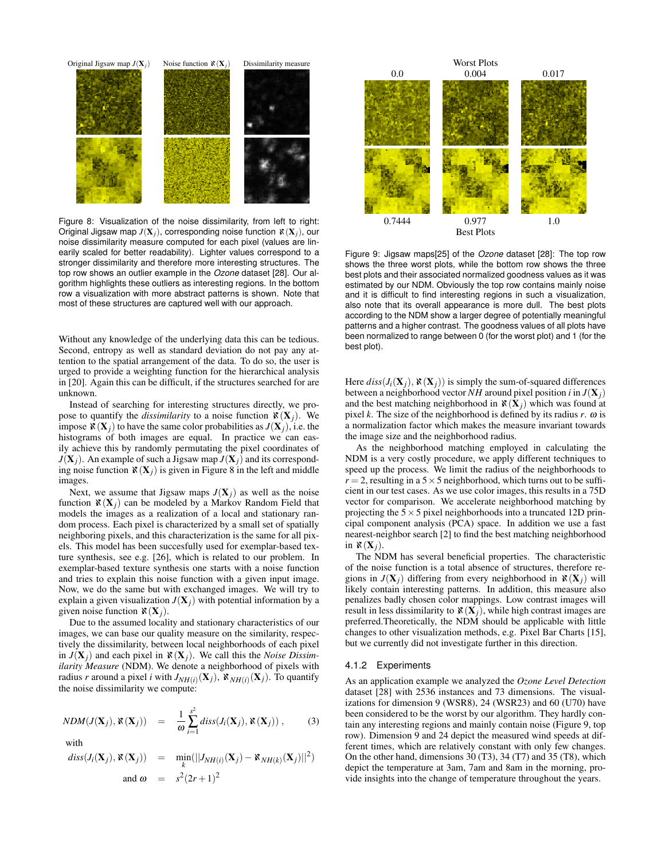

Figure 8: Visualization of the noise dissimilarity, from left to right: Original Jigsaw map  $J(X_i)$ , corresponding noise function  $\aleph(X_i)$ , our noise dissimilarity measure computed for each pixel (values are linearily scaled for better readability). Lighter values correspond to a stronger dissimilarity and therefore more interesting structures. The top row shows an outlier example in the *Ozone* dataset [28]. Our algorithm highlights these outliers as interesting regions. In the bottom row a visualization with more abstract patterns is shown. Note that most of these structures are captured well with our approach.

Without any knowledge of the underlying data this can be tedious. Second, entropy as well as standard deviation do not pay any attention to the spatial arrangement of the data. To do so, the user is urged to provide a weighting function for the hierarchical analysis in [20]. Again this can be difficult, if the structures searched for are unknown.

Instead of searching for interesting structures directly, we propose to quantify the *dissimilarity* to a noise function  $\aleph(X_i)$ . We impose  $\mathbf{X}(\mathbf{X}_i)$  to have the same color probabilities as  $J(\mathbf{X}_i)$ , i.e. the histograms of both images are equal. In practice we can easily achieve this by randomly permutating the pixel coordinates of  $J(\mathbf{X}_i)$ . An example of such a Jigsaw map  $J(\mathbf{X}_i)$  and its corresponding noise function  $\mathbf{X}(\mathbf{X}_i)$  is given in Figure 8 in the left and middle images.

Next, we assume that Jigsaw maps  $J(\mathbf{X}_i)$  as well as the noise function  $\mathbf{X}(\mathbf{X}_i)$  can be modeled by a Markov Random Field that models the images as a realization of a local and stationary random process. Each pixel is characterized by a small set of spatially neighboring pixels, and this characterization is the same for all pixels. This model has been succesfully used for exemplar-based texture synthesis, see e.g. [26], which is related to our problem. In exemplar-based texture synthesis one starts with a noise function and tries to explain this noise function with a given input image. Now, we do the same but with exchanged images. We will try to explain a given visualization  $J(\mathbf{X}_i)$  with potential information by a given noise function  $\aleph(X_i)$ .

Due to the assumed locality and stationary characteristics of our images, we can base our quality measure on the similarity, respectively the dissimilarity, between local neighborhoods of each pixel in  $J(\mathbf{X}_i)$  and each pixel in  $\mathbf{X}(\mathbf{X}_i)$ . We call this the *Noise Dissimilarity Measure* (NDM). We denote a neighborhood of pixels with radius *r* around a pixel *i* with  $J_{NH(i)}(\mathbf{X}_j)$ ,  $\mathbf{x}_{NH(i)}(\mathbf{X}_j)$ . To quantify the noise dissimilarity we compute:

$$
NDM(J(\mathbf{X}_j), \mathbf{\aleph}(\mathbf{X}_j)) = \frac{1}{\omega} \sum_{i=1}^{s^2} diss(J_i(\mathbf{X}_j), \mathbf{\aleph}(\mathbf{X}_j)),
$$
 (3)

with

$$
diss(J_i(\mathbf{X}_j), \mathbf{X}(\mathbf{X}_j)) = \min_k(||J_{NH(i)}(\mathbf{X}_j) - \mathbf{X}_{NH(k)}(\mathbf{X}_j)||^2)
$$
  
and  $\omega = s^2(2r+1)^2$ 



Figure 9: Jigsaw maps[25] of the *Ozone* dataset [28]: The top row shows the three worst plots, while the bottom row shows the three best plots and their associated normalized goodness values as it was estimated by our NDM. Obviously the top row contains mainly noise and it is difficult to find interesting regions in such a visualization, also note that its overall appearance is more dull. The best plots according to the NDM show a larger degree of potentially meaningful patterns and a higher contrast. The goodness values of all plots have been normalized to range between 0 (for the worst plot) and 1 (for the best plot).

Here  $diss(J_i(\mathbf{X}_i), \mathbf{X}(\mathbf{X}_i))$  is simply the sum-of-squared differences between a neighborhood vector  $\overline{N}H$  around pixel position *i* in  $J(\mathbf{X}_i)$ and the best matching neighborhood in  $\mathbf{X}(\mathbf{X}_i)$  which was found at pixel *k*. The size of the neighborhood is defined by its radius  $r$ .  $\omega$  is a normalization factor which makes the measure invariant towards the image size and the neighborhood radius.

As the neighborhood matching employed in calculating the NDM is a very costly procedure, we apply different techniques to speed up the process. We limit the radius of the neighborhoods to  $r = 2$ , resulting in a 5  $\times$  5 neighborhood, which turns out to be sufficient in our test cases. As we use color images, this results in a 75D vector for comparison. We accelerate neighborhood matching by projecting the  $5 \times 5$  pixel neighborhoods into a truncated 12D principal component analysis (PCA) space. In addition we use a fast nearest-neighbor search [2] to find the best matching neighborhood in  $\aleph(X_i)$ .

The NDM has several beneficial properties. The characteristic of the noise function is a total absence of structures, therefore regions in  $J(\mathbf{X}_i)$  differing from every neighborhood in  $\mathbf{X}(\mathbf{X}_i)$  will likely contain interesting patterns. In addition, this measure also penalizes badly chosen color mappings. Low contrast images will result in less dissimilarity to  $\mathbf{X}(\mathbf{X}_i)$ , while high contrast images are preferred.Theoretically, the NDM should be applicable with little changes to other visualization methods, e.g. Pixel Bar Charts [15], but we currently did not investigate further in this direction.

#### 4.1.2 Experiments

As an application example we analyzed the *Ozone Level Detection* dataset [28] with 2536 instances and 73 dimensions. The visualizations for dimension 9 (WSR8), 24 (WSR23) and 60 (U70) have been considered to be the worst by our algorithm. They hardly contain any interesting regions and mainly contain noise (Figure 9, top row). Dimension 9 and 24 depict the measured wind speeds at different times, which are relatively constant with only few changes. On the other hand, dimensions 30 (T3), 34 (T7) and 35 (T8), which depict the temperature at 3am, 7am and 8am in the morning, provide insights into the change of temperature throughout the years.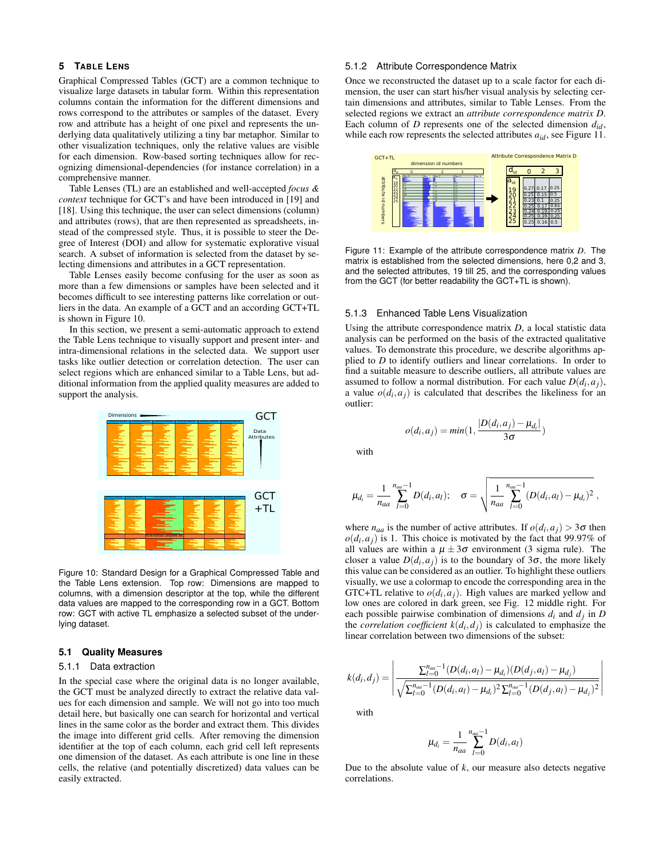# **5 TABLE LENS**

Graphical Compressed Tables (GCT) are a common technique to visualize large datasets in tabular form. Within this representation columns contain the information for the different dimensions and rows correspond to the attributes or samples of the dataset. Every row and attribute has a height of one pixel and represents the underlying data qualitatively utilizing a tiny bar metaphor. Similar to other visualization techniques, only the relative values are visible for each dimension. Row-based sorting techniques allow for recognizing dimensional-dependencies (for instance correlation) in a comprehensive manner.

Table Lenses (TL) are an established and well-accepted *focus & context* technique for GCT's and have been introduced in [19] and [18]. Using this technique, the user can select dimensions (column) and attributes (rows), that are then represented as spreadsheets, instead of the compressed style. Thus, it is possible to steer the Degree of Interest (DOI) and allow for systematic explorative visual search. A subset of information is selected from the dataset by selecting dimensions and attributes in a GCT representation.

Table Lenses easily become confusing for the user as soon as more than a few dimensions or samples have been selected and it becomes difficult to see interesting patterns like correlation or outliers in the data. An example of a GCT and an according GCT+TL is shown in Figure 10.

In this section, we present a semi-automatic approach to extend the Table Lens technique to visually support and present inter- and intra-dimensional relations in the selected data. We support user tasks like outlier detection or correlation detection. The user can select regions which are enhanced similar to a Table Lens, but additional information from the applied quality measures are added to support the analysis.



Figure 10: Standard Design for a Graphical Compressed Table and the Table Lens extension. Top row: Dimensions are mapped to columns, with a dimension descriptor at the top, while the different data values are mapped to the corresponding row in a GCT. Bottom row: GCT with active TL emphasize a selected subset of the underlying dataset.

# **5.1 Quality Measures**

## 5.1.1 Data extraction

In the special case where the original data is no longer available, the GCT must be analyzed directly to extract the relative data values for each dimension and sample. We will not go into too much detail here, but basically one can search for horizontal and vertical lines in the same color as the border and extract them. This divides the image into different grid cells. After removing the dimension identifier at the top of each column, each grid cell left represents one dimension of the dataset. As each attribute is one line in these cells, the relative (and potentially discretized) data values can be easily extracted.

# 5.1.2 Attribute Correspondence Matrix

Once we reconstructed the dataset up to a scale factor for each dimension, the user can start his/her visual analysis by selecting certain dimensions and attributes, similar to Table Lenses. From the selected regions we extract an *attribute correspondence matrix D*. Each column of *D* represents one of the selected dimension  $d_{id}$ , while each row represents the selected attributes  $a_{id}$ , see Figure 11.



Figure 11: Example of the attribute correspondence matrix *D*. The matrix is established from the selected dimensions, here 0,2 and 3, and the selected attributes, 19 till 25, and the corresponding values from the GCT (for better readability the GCT+TL is shown).

# 5.1.3 Enhanced Table Lens Visualization

Using the attribute correspondence matrix *D*, a local statistic data analysis can be performed on the basis of the extracted qualitative values. To demonstrate this procedure, we describe algorithms applied to *D* to identify outliers and linear correlations. In order to find a suitable measure to describe outliers, all attribute values are assumed to follow a normal distribution. For each value  $D(d_i, a_j)$ , a value  $o(d_i, a_j)$  is calculated that describes the likeliness for an outlier:

$$
o(d_i, a_j) = min(1, \frac{|D(d_i, a_j) - \mu_{d_i}|}{3\sigma})
$$

with

$$
\mu_{d_i} = \frac{1}{n_{aa}} \sum_{l=0}^{n_{aa}-1} D(d_i, a_l); \quad \sigma = \sqrt{\frac{1}{n_{aa}} \sum_{l=0}^{n_{aa}-1} (D(d_i, a_l) - \mu_{d_i})^2},
$$

where  $n_{aa}$  is the number of active attributes. If  $o(d_i, a_j) > 3\sigma$  then  $o(d_i, a_j)$  is 1. This choice is motivated by the fact that 99.97% of all values are within a  $\mu \pm 3\sigma$  environment (3 sigma rule). The closer a value  $D(d_i, a_j)$  is to the boundary of  $3\sigma$ , the more likely this value can be considered as an outlier. To highlight these outliers visually, we use a colormap to encode the corresponding area in the GTC+TL relative to  $o(d_i, a_j)$ . High values are marked yellow and low ones are colored in dark green, see Fig. 12 middle right. For each possible pairwise combination of dimensions  $d_i$  and  $d_j$  in *D* the *correlation coefficient*  $k(d_i, d_j)$  is calculated to emphasize the linear correlation between two dimensions of the subset:

$$
k(d_i, d_j) = \left| \frac{\sum_{l=0}^{n_{aa}-1} (D(d_i, a_l) - \mu_{d_i}) (D(d_j, a_l) - \mu_{d_j})}{\sqrt{\sum_{l=0}^{n_{aa}-1} (D(d_i, a_l) - \mu_{d_i})^2 \sum_{l=0}^{n_{aa}-1} (D(d_j, a_l) - \mu_{d_j})^2}} \right|
$$

with

$$
\mu_{d_i} = \frac{1}{n_{aa}} \sum_{l=0}^{n_{aa}-1} D(d_i, a_l)
$$

Due to the absolute value of  $k$ , our measure also detects negative correlations.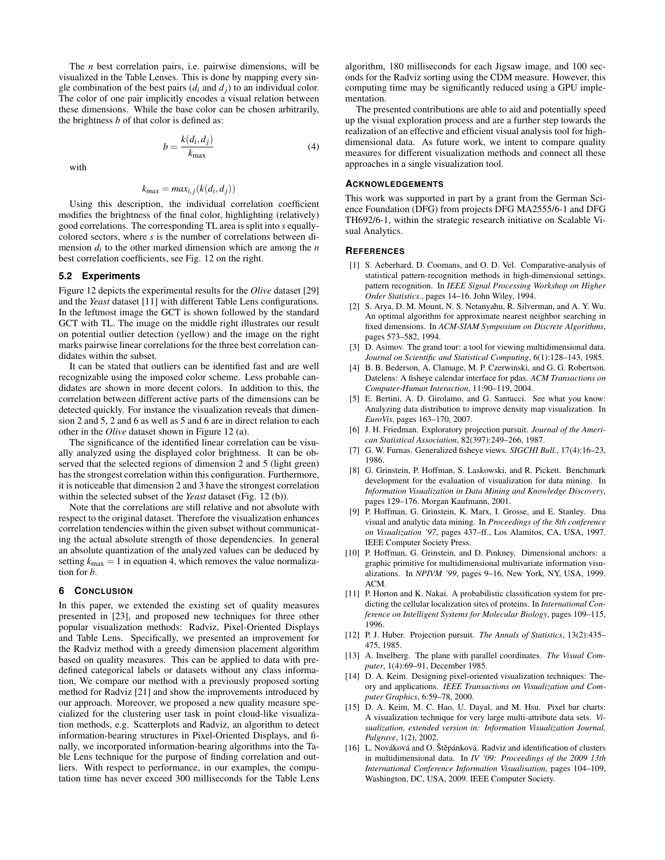The *n* best correlation pairs, i.e. pairwise dimensions, will be visualized in the Table Lenses. This is done by mapping every single combination of the best pairs  $(d_i \text{ and } d_j)$  to an individual color. The color of one pair implicitly encodes a visual relation between these dimensions. While the base color can be chosen arbitrarily, the brightness *b* of that color is defined as:

> $b = \frac{k(d_i, d_j)}{l}$ *k*max (4)

with

$$
k_{max} = max_{i,j}(k(d_i, d_j))
$$

Using this description, the individual correlation coefficient modifies the brightness of the final color, highlighting (relatively) good correlations. The corresponding TL area is split into *s* equallycolored sectors, where *s* is the number of correlations between dimension *di* to the other marked dimension which are among the *n* best correlation coefficients, see Fig. 12 on the right.

## **5.2 Experiments**

Figure 12 depicts the experimental results for the *Olive* dataset [29] and the *Yeast* dataset [11] with different Table Lens configurations. In the leftmost image the GCT is shown followed by the standard GCT with TL. The image on the middle right illustrates our result on potential outlier detection (yellow) and the image on the right marks pairwise linear correlations for the three best correlation candidates within the subset.

It can be stated that outliers can be identified fast and are well recognizable using the imposed color scheme. Less probable candidates are shown in more decent colors. In addition to this, the correlation between different active parts of the dimensions can be detected quickly. For instance the visualization reveals that dimension 2 and 5, 2 and 6 as well as 5 and 6 are in direct relation to each other in the *Olive* dataset shown in Figure 12 (a).

The significance of the identified linear correlation can be visually analyzed using the displayed color brightness. It can be observed that the selected regions of dimension 2 and 5 (light green) has the strongest correlation within this configuration. Furthermore, it is noticeable that dimension 2 and 3 have the strongest correlation within the selected subset of the *Yeast* dataset (Fig. 12 (b)).

Note that the correlations are still relative and not absolute with respect to the original dataset. Therefore the visualization enhances correlation tendencies within the given subset without communicating the actual absolute strength of those dependencies. In general an absolute quantization of the analyzed values can be deduced by setting  $k_{\text{max}} = 1$  in equation 4, which removes the value normalization for *b*.

# **6 CONCLUSION**

In this paper, we extended the existing set of quality measures presented in [23], and proposed new techniques for three other popular visualization methods: Radviz, Pixel-Oriented Displays and Table Lens. Specifically, we presented an improvement for the Radviz method with a greedy dimension placement algorithm based on quality measures. This can be applied to data with predefined categorical labels or datasets without any class information, We compare our method with a previously proposed sorting method for Radviz [21] and show the improvements introduced by our approach. Moreover, we proposed a new quality measure specialized for the clustering user task in point cloud-like visualization methods, e.g. Scatterplots and Radviz, an algorithm to detect information-bearing structures in Pixel-Oriented Displays, and finally, we incorporated information-bearing algorithms into the Table Lens technique for the purpose of finding correlation and outliers. With respect to performance, in our examples, the computation time has never exceed 300 milliseconds for the Table Lens algorithm, 180 milliseconds for each Jigsaw image, and 100 seconds for the Radviz sorting using the CDM measure. However, this computing time may be significantly reduced using a GPU implementation.

The presented contributions are able to aid and potentially speed up the visual exploration process and are a further step towards the realization of an effective and efficient visual analysis tool for highdimensional data. As future work, we intent to compare quality measures for different visualization methods and connect all these approaches in a single visualization tool.

## **ACKNOWLEDGEMENTS**

This work was supported in part by a grant from the German Science Foundation (DFG) from projects DFG MA2555/6-1 and DFG TH692/6-1, within the strategic research initiative on Scalable Visual Analytics.

# **REFERENCES**

- [1] S. Aeberhard, D. Coomans, and O. D. Vel. Comparative-analysis of statistical pattern-recognition methods in high-dimensional settings. pattern recognition. In *IEEE Signal Processing Workshop on Higher Order Statistics.*, pages 14–16. John Wiley, 1994.
- [2] S. Arya, D. M. Mount, N. S. Netanyahu, R. Silverman, and A. Y. Wu. An optimal algorithm for approximate nearest neighbor searching in fixed dimensions. In *ACM-SIAM Symposium on Discrete Algorithms*, pages 573–582, 1994.
- [3] D. Asimov. The grand tour: a tool for viewing multidimensional data. *Journal on Scientific and Statistical Computing*, 6(1):128–143, 1985.
- [4] B. B. Bederson, A. Clamage, M. P. Czerwinski, and G. G. Robertson. Datelens: A fisheye calendar interface for pdas. *ACM Transactions on Computer-Human Interaction*, 11:90–119, 2004.
- [5] E. Bertini, A. D. Girolamo, and G. Santucci. See what you know: Analyzing data distribution to improve density map visualization. In *EuroVis*, pages 163–170, 2007.
- [6] J. H. Friedman. Exploratory projection pursuit. *Journal of the American Statistical Association*, 82(397):249–266, 1987.
- [7] G. W. Furnas. Generalized fisheye views. *SIGCHI Bull.*, 17(4):16–23, 1986.
- [8] G. Grinstein, P. Hoffman, S. Laskowski, and R. Pickett. Benchmark development for the evaluation of visualization for data mining. In *Information Visualization in Data Mining and Knowledge Discovery*, pages 129–176. Morgan Kaufmann, 2001.
- [9] P. Hoffman, G. Grinstein, K. Marx, I. Grosse, and E. Stanley. Dna visual and analytic data mining. In *Proceedings of the 8th conference on Visualization '97*, pages 437–ff., Los Alamitos, CA, USA, 1997. IEEE Computer Society Press.
- [10] P. Hoffman, G. Grinstein, and D. Pinkney. Dimensional anchors: a graphic primitive for multidimensional multivariate information visualizations. In *NPIVM '99*, pages 9–16, New York, NY, USA, 1999. ACM.
- [11] P. Horton and K. Nakai. A probabilistic classification system for predicting the cellular localization sites of proteins. In *International Conference on Intelligent Systems for Molecular Biology*, pages 109–115, 1996.
- [12] P. J. Huber. Projection pursuit. *The Annals of Statistics*, 13(2):435– 475, 1985.
- [13] A. Inselberg. The plane with parallel coordinates. *The Visual Computer*, 1(4):69–91, December 1985.
- [14] D. A. Keim. Designing pixel-oriented visualization techniques: Theory and applications. *IEEE Transactions on Visualization and Computer Graphics*, 6:59–78, 2000.
- [15] D. A. Keim, M. C. Hao, U. Dayal, and M. Hsu. Pixel bar charts: A visualization technique for very large multi-attribute data sets. *Visualization, extended version in: Information Visualization Journal, Palgrave*, 1(2), 2002.
- [16] L. Nováková and O. Štěpánková. Radviz and identification of clusters in multidimensional data. In *IV '09: Proceedings of the 2009 13th International Conference Information Visualisation*, pages 104–109, Washington, DC, USA, 2009. IEEE Computer Society.